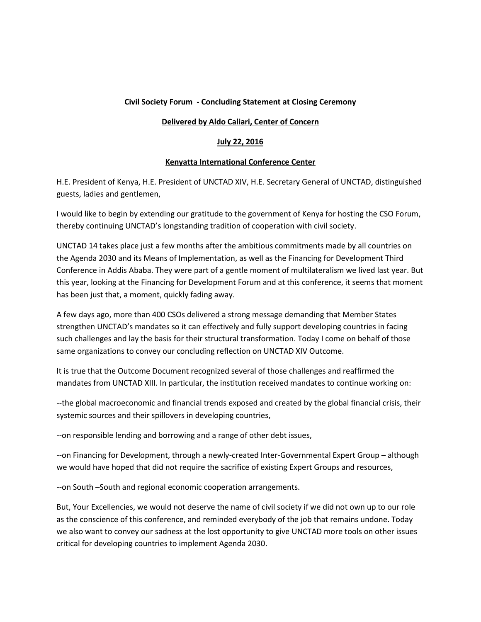# **Civil Society Forum - Concluding Statement at Closing Ceremony**

### **Delivered by Aldo Caliari, Center of Concern**

## **July 22, 2016**

## **Kenyatta International Conference Center**

H.E. President of Kenya, H.E. President of UNCTAD XIV, H.E. Secretary General of UNCTAD, distinguished guests, ladies and gentlemen,

I would like to begin by extending our gratitude to the government of Kenya for hosting the CSO Forum, thereby continuing UNCTAD's longstanding tradition of cooperation with civil society.

UNCTAD 14 takes place just a few months after the ambitious commitments made by all countries on the Agenda 2030 and its Means of Implementation, as well as the Financing for Development Third Conference in Addis Ababa. They were part of a gentle moment of multilateralism we lived last year. But this year, looking at the Financing for Development Forum and at this conference, it seems that moment has been just that, a moment, quickly fading away.

A few days ago, more than 400 CSOs delivered a strong message demanding that Member States strengthen UNCTAD's mandates so it can effectively and fully support developing countries in facing such challenges and lay the basis for their structural transformation. Today I come on behalf of those same organizations to convey our concluding reflection on UNCTAD XIV Outcome.

It is true that the Outcome Document recognized several of those challenges and reaffirmed the mandates from UNCTAD XIII. In particular, the institution received mandates to continue working on:

--the global macroeconomic and financial trends exposed and created by the global financial crisis, their systemic sources and their spillovers in developing countries,

--on responsible lending and borrowing and a range of other debt issues,

--on Financing for Development, through a newly-created Inter-Governmental Expert Group – although we would have hoped that did not require the sacrifice of existing Expert Groups and resources,

--on South –South and regional economic cooperation arrangements.

But, Your Excellencies, we would not deserve the name of civil society if we did not own up to our role as the conscience of this conference, and reminded everybody of the job that remains undone. Today we also want to convey our sadness at the lost opportunity to give UNCTAD more tools on other issues critical for developing countries to implement Agenda 2030.